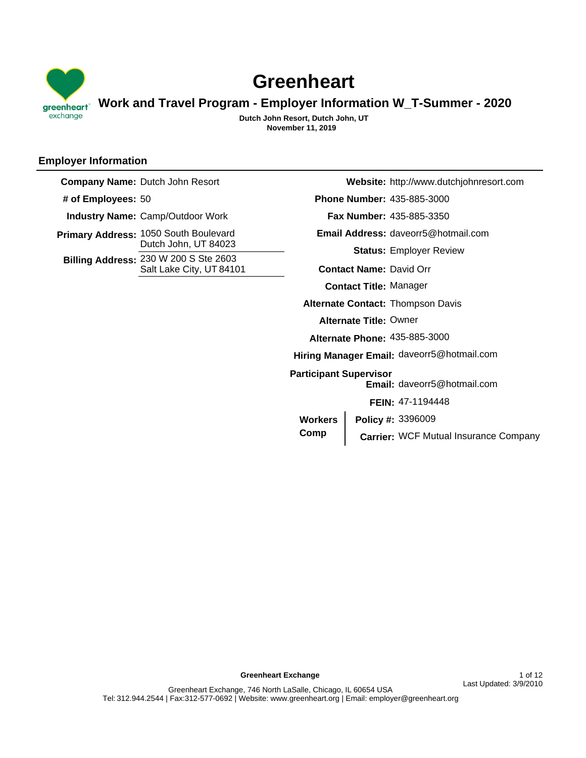

# **Greenheart**

**Work and Travel Program - Employer Information W\_T-Summer - 2020**

**November 11, 2019 Dutch John Resort, Dutch John, UT**

# **Employer Information**

**Primary Address: 1050 South Boulevard** Dutch John, UT 84023 **Billing Address: 230 W 200 S Ste 2603** Salt Lake City, UT 84101 **Company Name:** Dutch John Resort **# of Employees:** 50 **Industry Name:** Camp/Outdoor Work

**Website:** http://www.dutchjohnresort.com 435-885-3000 **Phone Number:** 435-885-3350 **Fax Number: Email Address:** daveorr5@hotmail.com **Status:** Employer Review **Alternate Contact:** Thompson Davis **Contact Name:** David Orr **Contact Title:** Manager **Alternate Title:** Owner Hiring Manager Email: daveorr5@hotmail.com Email: daveorr5@hotmail.com 435-885-3000 **Alternate Phone: Participant Supervisor**  Carrier: WCF Mutual Insurance Company 3396009 **Policy #: FEIN:** 47-1194448 **Workers Comp**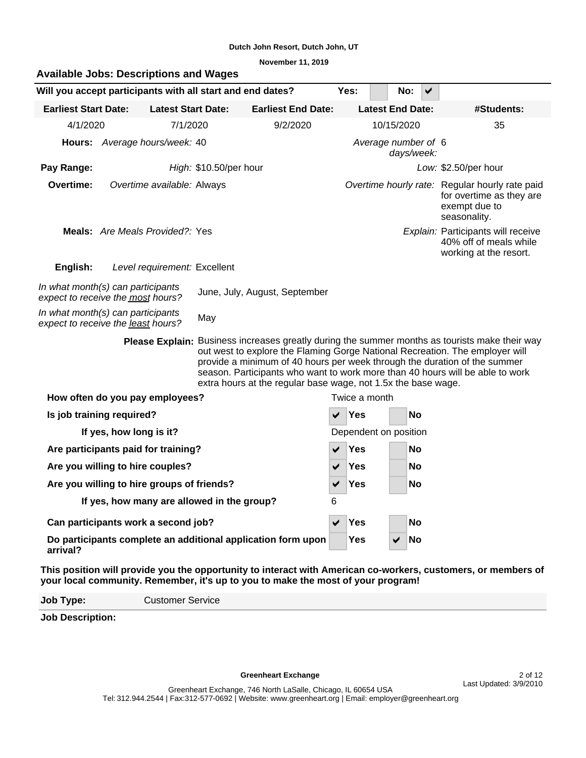**November 11, 2019**

|                                                                         | <b>Available Jobs: Descriptions and Wages</b> |                              |                                                               |                                                                                  |                       |                         |            |                                                                                                                                                                                                                                                                                                                              |                                                                                                               |  |  |  |  |
|-------------------------------------------------------------------------|-----------------------------------------------|------------------------------|---------------------------------------------------------------|----------------------------------------------------------------------------------|-----------------------|-------------------------|------------|------------------------------------------------------------------------------------------------------------------------------------------------------------------------------------------------------------------------------------------------------------------------------------------------------------------------------|---------------------------------------------------------------------------------------------------------------|--|--|--|--|
| Will you accept participants with all start and end dates?              |                                               |                              |                                                               |                                                                                  |                       | Yes:                    | No:        | ✔                                                                                                                                                                                                                                                                                                                            |                                                                                                               |  |  |  |  |
| <b>Earliest Start Date:</b>                                             |                                               | <b>Latest Start Date:</b>    |                                                               | <b>Earliest End Date:</b>                                                        |                       | <b>Latest End Date:</b> |            |                                                                                                                                                                                                                                                                                                                              | #Students:                                                                                                    |  |  |  |  |
| 4/1/2020                                                                |                                               | 7/1/2020                     |                                                               | 9/2/2020                                                                         |                       |                         | 10/15/2020 |                                                                                                                                                                                                                                                                                                                              | 35                                                                                                            |  |  |  |  |
|                                                                         | Hours: Average hours/week: 40                 |                              |                                                               |                                                                                  | Average number of 6   |                         | days/week: |                                                                                                                                                                                                                                                                                                                              |                                                                                                               |  |  |  |  |
| Pay Range:                                                              |                                               |                              | High: \$10.50/per hour                                        |                                                                                  |                       |                         |            |                                                                                                                                                                                                                                                                                                                              | Low: \$2.50/per hour                                                                                          |  |  |  |  |
| Overtime:                                                               |                                               | Overtime available: Always   |                                                               |                                                                                  |                       |                         |            |                                                                                                                                                                                                                                                                                                                              | Overtime hourly rate: Regular hourly rate paid<br>for overtime as they are<br>exempt due to<br>seasonality.   |  |  |  |  |
|                                                                         | Meals: Are Meals Provided?: Yes               |                              |                                                               |                                                                                  |                       |                         |            |                                                                                                                                                                                                                                                                                                                              | Explain: Participants will receive<br>40% off of meals while<br>working at the resort.                        |  |  |  |  |
| English:                                                                |                                               | Level requirement: Excellent |                                                               |                                                                                  |                       |                         |            |                                                                                                                                                                                                                                                                                                                              |                                                                                                               |  |  |  |  |
| In what month(s) can participants<br>expect to receive the most hours?  |                                               |                              |                                                               | June, July, August, September                                                    |                       |                         |            |                                                                                                                                                                                                                                                                                                                              |                                                                                                               |  |  |  |  |
| In what month(s) can participants<br>expect to receive the least hours? |                                               |                              | May                                                           |                                                                                  |                       |                         |            |                                                                                                                                                                                                                                                                                                                              |                                                                                                               |  |  |  |  |
|                                                                         | <b>Please Explain:</b>                        |                              | extra hours at the regular base wage, not 1.5x the base wage. |                                                                                  |                       |                         |            | Business increases greatly during the summer months as tourists make their way<br>out west to explore the Flaming Gorge National Recreation. The employer will<br>provide a minimum of 40 hours per week through the duration of the summer<br>season. Participants who want to work more than 40 hours will be able to work |                                                                                                               |  |  |  |  |
| How often do you pay employees?                                         |                                               |                              |                                                               |                                                                                  | Twice a month         |                         |            |                                                                                                                                                                                                                                                                                                                              |                                                                                                               |  |  |  |  |
| Is job training required?                                               |                                               |                              |                                                               |                                                                                  |                       | Yes<br><b>No</b>        |            |                                                                                                                                                                                                                                                                                                                              |                                                                                                               |  |  |  |  |
|                                                                         | If yes, how long is it?                       |                              |                                                               |                                                                                  | Dependent on position |                         |            |                                                                                                                                                                                                                                                                                                                              |                                                                                                               |  |  |  |  |
| Are participants paid for training?                                     |                                               |                              |                                                               |                                                                                  | Yes<br>No             |                         |            |                                                                                                                                                                                                                                                                                                                              |                                                                                                               |  |  |  |  |
| Are you willing to hire couples?                                        |                                               |                              |                                                               |                                                                                  | ✔                     | Yes                     |            | No                                                                                                                                                                                                                                                                                                                           |                                                                                                               |  |  |  |  |
| Are you willing to hire groups of friends?                              |                                               |                              |                                                               |                                                                                  |                       | Yes                     |            | No                                                                                                                                                                                                                                                                                                                           |                                                                                                               |  |  |  |  |
|                                                                         |                                               |                              | If yes, how many are allowed in the group?                    |                                                                                  | 6                     |                         |            |                                                                                                                                                                                                                                                                                                                              |                                                                                                               |  |  |  |  |
| Can participants work a second job?                                     |                                               |                              |                                                               |                                                                                  | $\blacktriangledown$  | Yes                     |            | No                                                                                                                                                                                                                                                                                                                           |                                                                                                               |  |  |  |  |
| arrival?                                                                |                                               |                              |                                                               | Do participants complete an additional application form upon                     |                       | <b>Yes</b>              |            | No                                                                                                                                                                                                                                                                                                                           |                                                                                                               |  |  |  |  |
|                                                                         |                                               |                              |                                                               | your local community. Remember, it's up to you to make the most of your program! |                       |                         |            |                                                                                                                                                                                                                                                                                                                              | This position will provide you the opportunity to interact with American co-workers, customers, or members of |  |  |  |  |

**Job Type:** Customer Service

**Job Description:**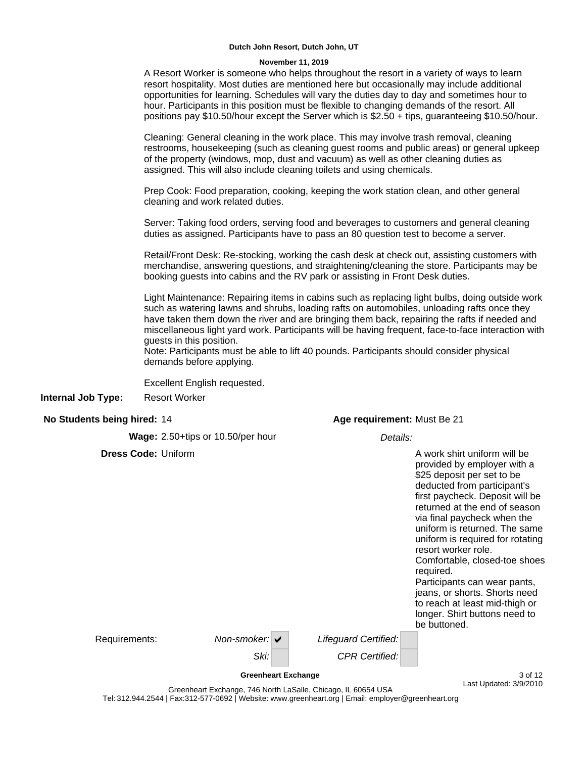#### **November 11, 2019**

**No Students being hired:** 14 **Wage:** 2.50+tips or 10.50/per hour Details: **Dress Code:** Uniform A Resort Worker is someone who helps throughout the resort in a variety of ways to learn resort hospitality. Most duties are mentioned here but occasionally may include additional opportunities for learning. Schedules will vary the duties day to day and sometimes hour to hour. Participants in this position must be flexible to changing demands of the resort. All positions pay \$10.50/hour except the Server which is \$2.50 + tips, guaranteeing \$10.50/hour. Cleaning: General cleaning in the work place. This may involve trash removal, cleaning restrooms, housekeeping (such as cleaning guest rooms and public areas) or general upkeep of the property (windows, mop, dust and vacuum) as well as other cleaning duties as assigned. This will also include cleaning toilets and using chemicals. Prep Cook: Food preparation, cooking, keeping the work station clean, and other general cleaning and work related duties. Server: Taking food orders, serving food and beverages to customers and general cleaning duties as assigned. Participants have to pass an 80 question test to become a server. Retail/Front Desk: Re-stocking, working the cash desk at check out, assisting customers with merchandise, answering questions, and straightening/cleaning the store. Participants may be booking guests into cabins and the RV park or assisting in Front Desk duties. Light Maintenance: Repairing items in cabins such as replacing light bulbs, doing outside work such as watering lawns and shrubs, loading rafts on automobiles, unloading rafts once they have taken them down the river and are bringing them back, repairing the rafts if needed and miscellaneous light yard work. Participants will be having frequent, face-to-face interaction with guests in this position. Note: Participants must be able to lift 40 pounds. Participants should consider physical demands before applying. Excellent English requested. **Age requirement:** Must Be 21 A work shirt uniform will be provided by employer with a \$25 deposit per set to be deducted from participant's first paycheck. Deposit will be returned at the end of season via final paycheck when the uniform is returned. The same uniform is required for rotating resort worker role. Comfortable, closed-toe shoes required. Participants can wear pants, jeans, or shorts. Shorts need to reach at least mid-thigh or longer. Shirt buttons need to be buttoned. Lifeguard Certified: Requirements: Non-smoker: v **Internal Job Type:** Resort Worker

Ski: CPR Certified:

**Greenheart Exchange** 3 of 12 Last Updated: 3/9/2010

Greenheart Exchange, 746 North LaSalle, Chicago, IL 60654 USA Tel: 312.944.2544 | Fax:312-577-0692 | Website: www.greenheart.org | Email: employer@greenheart.org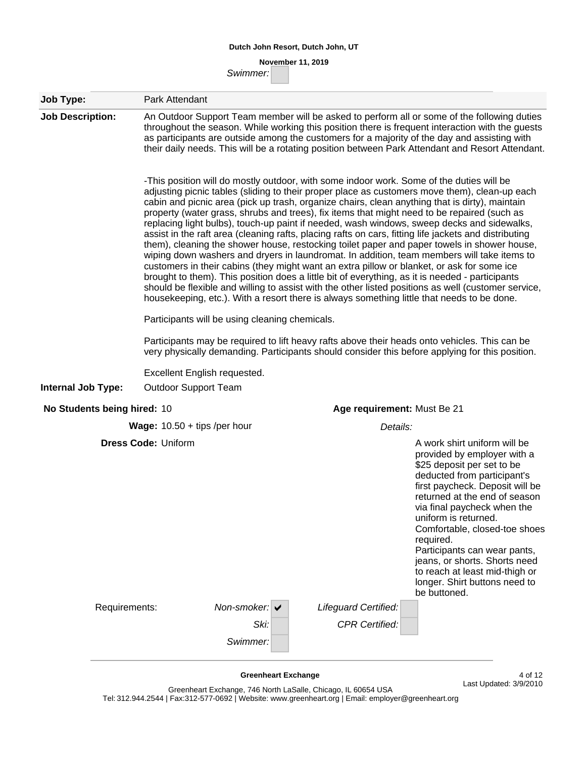# **November 11, 2019**

Swimmer:

| Job Type:                   | Park Attendant                                                                                                                                                                                                                                                                                                                                                                                                                                                                                                                                                                                                                                                                                                                                                                                                                                                                                                                                                                                                                                                                                                                                                                                                                                                                                                                                          |  |  |  |  |  |  |  |  |
|-----------------------------|---------------------------------------------------------------------------------------------------------------------------------------------------------------------------------------------------------------------------------------------------------------------------------------------------------------------------------------------------------------------------------------------------------------------------------------------------------------------------------------------------------------------------------------------------------------------------------------------------------------------------------------------------------------------------------------------------------------------------------------------------------------------------------------------------------------------------------------------------------------------------------------------------------------------------------------------------------------------------------------------------------------------------------------------------------------------------------------------------------------------------------------------------------------------------------------------------------------------------------------------------------------------------------------------------------------------------------------------------------|--|--|--|--|--|--|--|--|
| <b>Job Description:</b>     | An Outdoor Support Team member will be asked to perform all or some of the following duties<br>throughout the season. While working this position there is frequent interaction with the guests<br>as participants are outside among the customers for a majority of the day and assisting with<br>their daily needs. This will be a rotating position between Park Attendant and Resort Attendant.                                                                                                                                                                                                                                                                                                                                                                                                                                                                                                                                                                                                                                                                                                                                                                                                                                                                                                                                                     |  |  |  |  |  |  |  |  |
|                             | -This position will do mostly outdoor, with some indoor work. Some of the duties will be<br>adjusting picnic tables (sliding to their proper place as customers move them), clean-up each<br>cabin and picnic area (pick up trash, organize chairs, clean anything that is dirty), maintain<br>property (water grass, shrubs and trees), fix items that might need to be repaired (such as<br>replacing light bulbs), touch-up paint if needed, wash windows, sweep decks and sidewalks,<br>assist in the raft area (cleaning rafts, placing rafts on cars, fitting life jackets and distributing<br>them), cleaning the shower house, restocking toilet paper and paper towels in shower house,<br>wiping down washers and dryers in laundromat. In addition, team members will take items to<br>customers in their cabins (they might want an extra pillow or blanket, or ask for some ice<br>brought to them). This position does a little bit of everything, as it is needed - participants<br>should be flexible and willing to assist with the other listed positions as well (customer service,<br>housekeeping, etc.). With a resort there is always something little that needs to be done.<br>Participants will be using cleaning chemicals.<br>Participants may be required to lift heavy rafts above their heads onto vehicles. This can be |  |  |  |  |  |  |  |  |
|                             | very physically demanding. Participants should consider this before applying for this position.                                                                                                                                                                                                                                                                                                                                                                                                                                                                                                                                                                                                                                                                                                                                                                                                                                                                                                                                                                                                                                                                                                                                                                                                                                                         |  |  |  |  |  |  |  |  |
| <b>Internal Job Type:</b>   | Excellent English requested.<br><b>Outdoor Support Team</b>                                                                                                                                                                                                                                                                                                                                                                                                                                                                                                                                                                                                                                                                                                                                                                                                                                                                                                                                                                                                                                                                                                                                                                                                                                                                                             |  |  |  |  |  |  |  |  |
| No Students being hired: 10 | Age requirement: Must Be 21                                                                                                                                                                                                                                                                                                                                                                                                                                                                                                                                                                                                                                                                                                                                                                                                                                                                                                                                                                                                                                                                                                                                                                                                                                                                                                                             |  |  |  |  |  |  |  |  |
|                             | <b>Wage:</b> $10.50 + tips$ /per hour<br>Details:                                                                                                                                                                                                                                                                                                                                                                                                                                                                                                                                                                                                                                                                                                                                                                                                                                                                                                                                                                                                                                                                                                                                                                                                                                                                                                       |  |  |  |  |  |  |  |  |
|                             | <b>Dress Code: Uniform</b><br>A work shirt uniform will be<br>provided by employer with a<br>\$25 deposit per set to be<br>deducted from participant's<br>first paycheck. Deposit will be<br>returned at the end of season<br>via final paycheck when the<br>uniform is returned.<br>Comfortable, closed-toe shoes<br>required.<br>Participants can wear pants,<br>jeans, or shorts. Shorts need<br>to reach at least mid-thigh or<br>longer. Shirt buttons need to<br>be buttoned.                                                                                                                                                                                                                                                                                                                                                                                                                                                                                                                                                                                                                                                                                                                                                                                                                                                                     |  |  |  |  |  |  |  |  |
| Requirements:               | Non-smoker: $\vee$<br>Lifeguard Certified:                                                                                                                                                                                                                                                                                                                                                                                                                                                                                                                                                                                                                                                                                                                                                                                                                                                                                                                                                                                                                                                                                                                                                                                                                                                                                                              |  |  |  |  |  |  |  |  |
|                             | Ski:<br><b>CPR Certified:</b><br>Swimmer:                                                                                                                                                                                                                                                                                                                                                                                                                                                                                                                                                                                                                                                                                                                                                                                                                                                                                                                                                                                                                                                                                                                                                                                                                                                                                                               |  |  |  |  |  |  |  |  |
|                             | <b>Greenheart Exchange</b><br>4 of 12<br>Last Updated: 3/9/2010<br>ophoert Exchange 746 North LoCalle Chicago II GOGE4 LICA                                                                                                                                                                                                                                                                                                                                                                                                                                                                                                                                                                                                                                                                                                                                                                                                                                                                                                                                                                                                                                                                                                                                                                                                                             |  |  |  |  |  |  |  |  |

Greenheart Exchange, 746 North LaSalle, Chicago, IL 60654 USA Tel: 312.944.2544 | Fax:312-577-0692 | Website: www.greenheart.org | Email: employer@greenheart.org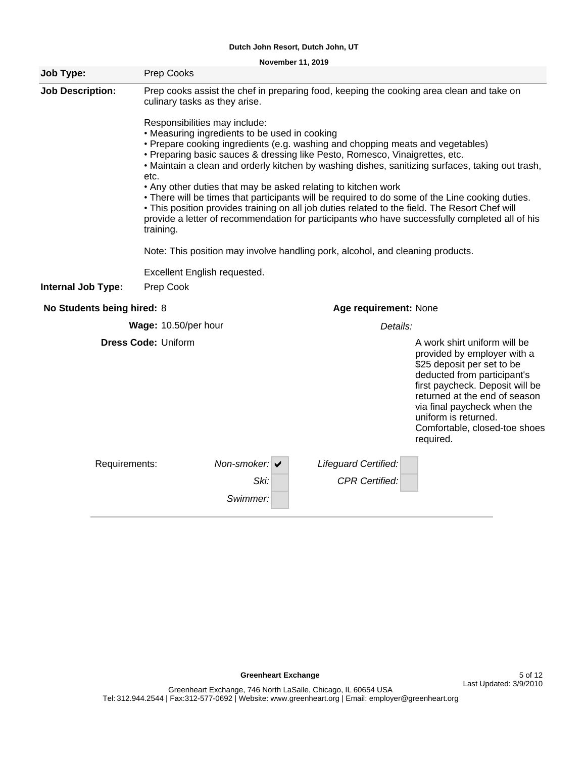**November 11, 2019**

| Job Type:                  | Prep Cooks                                                                                                                           |                                   |                                                                                                                                                                                                                                                                                                                                                                                                                              |                                                                                                                                                                                                                                                                                                       |
|----------------------------|--------------------------------------------------------------------------------------------------------------------------------------|-----------------------------------|------------------------------------------------------------------------------------------------------------------------------------------------------------------------------------------------------------------------------------------------------------------------------------------------------------------------------------------------------------------------------------------------------------------------------|-------------------------------------------------------------------------------------------------------------------------------------------------------------------------------------------------------------------------------------------------------------------------------------------------------|
| <b>Job Description:</b>    | culinary tasks as they arise.<br>Responsibilities may include:<br>• Measuring ingredients to be used in cooking<br>etc.<br>training. |                                   | Prep cooks assist the chef in preparing food, keeping the cooking area clean and take on<br>• Prepare cooking ingredients (e.g. washing and chopping meats and vegetables)<br>• Preparing basic sauces & dressing like Pesto, Romesco, Vinaigrettes, etc.<br>. Any other duties that may be asked relating to kitchen work<br>• This position provides training on all job duties related to the field. The Resort Chef will | . Maintain a clean and orderly kitchen by washing dishes, sanitizing surfaces, taking out trash,<br>• There will be times that participants will be required to do some of the Line cooking duties.<br>provide a letter of recommendation for participants who have successfully completed all of his |
|                            |                                                                                                                                      |                                   | Note: This position may involve handling pork, alcohol, and cleaning products.                                                                                                                                                                                                                                                                                                                                               |                                                                                                                                                                                                                                                                                                       |
|                            | Excellent English requested.                                                                                                         |                                   |                                                                                                                                                                                                                                                                                                                                                                                                                              |                                                                                                                                                                                                                                                                                                       |
| Internal Job Type:         | Prep Cook                                                                                                                            |                                   |                                                                                                                                                                                                                                                                                                                                                                                                                              |                                                                                                                                                                                                                                                                                                       |
| No Students being hired: 8 |                                                                                                                                      |                                   | Age requirement: None                                                                                                                                                                                                                                                                                                                                                                                                        |                                                                                                                                                                                                                                                                                                       |
|                            | Wage: 10.50/per hour                                                                                                                 |                                   | Details:                                                                                                                                                                                                                                                                                                                                                                                                                     |                                                                                                                                                                                                                                                                                                       |
|                            | <b>Dress Code: Uniform</b>                                                                                                           |                                   |                                                                                                                                                                                                                                                                                                                                                                                                                              | A work shirt uniform will be<br>provided by employer with a<br>\$25 deposit per set to be<br>deducted from participant's<br>first paycheck. Deposit will be<br>returned at the end of season<br>via final paycheck when the<br>uniform is returned.<br>Comfortable, closed-toe shoes<br>required.     |
| Requirements:              |                                                                                                                                      | Non-smoker: $\blacktriangleright$ | Lifeguard Certified:                                                                                                                                                                                                                                                                                                                                                                                                         |                                                                                                                                                                                                                                                                                                       |
|                            |                                                                                                                                      | Ski:                              | <b>CPR Certified:</b>                                                                                                                                                                                                                                                                                                                                                                                                        |                                                                                                                                                                                                                                                                                                       |
|                            |                                                                                                                                      | Swimmer:                          |                                                                                                                                                                                                                                                                                                                                                                                                                              |                                                                                                                                                                                                                                                                                                       |

**Greenheart Exchange 5 of 12**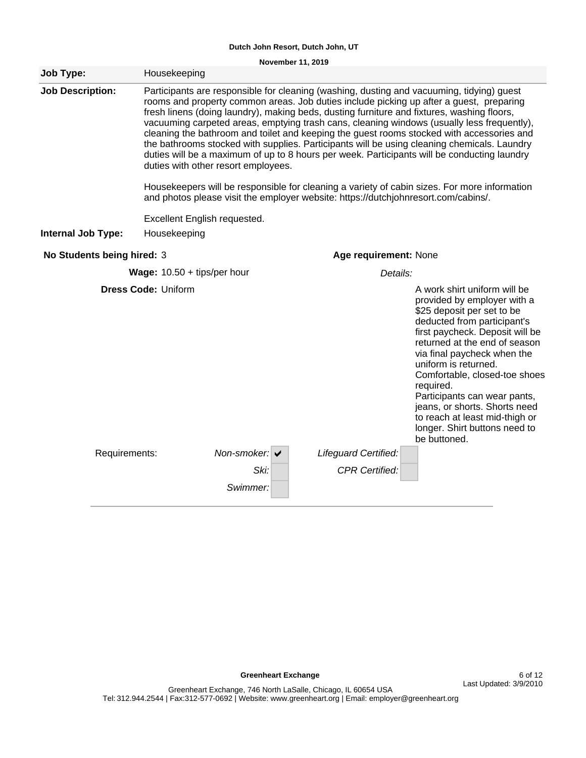**November 11, 2019**

| Job Type:                  | Housekeeping                         |                                   |                                                                                                                                                                                                                                                                                                                                                                                                                                                                                                                                                                                                                                                                             |                                                                                                                                                                                                                                                                                                                                                                                                                                                       |  |  |  |  |
|----------------------------|--------------------------------------|-----------------------------------|-----------------------------------------------------------------------------------------------------------------------------------------------------------------------------------------------------------------------------------------------------------------------------------------------------------------------------------------------------------------------------------------------------------------------------------------------------------------------------------------------------------------------------------------------------------------------------------------------------------------------------------------------------------------------------|-------------------------------------------------------------------------------------------------------------------------------------------------------------------------------------------------------------------------------------------------------------------------------------------------------------------------------------------------------------------------------------------------------------------------------------------------------|--|--|--|--|
| <b>Job Description:</b>    | duties with other resort employees.  |                                   | Participants are responsible for cleaning (washing, dusting and vacuuming, tidying) guest<br>rooms and property common areas. Job duties include picking up after a guest, preparing<br>fresh linens (doing laundry), making beds, dusting furniture and fixtures, washing floors,<br>vacuuming carpeted areas, emptying trash cans, cleaning windows (usually less frequently),<br>cleaning the bathroom and toilet and keeping the guest rooms stocked with accessories and<br>the bathrooms stocked with supplies. Participants will be using cleaning chemicals. Laundry<br>duties will be a maximum of up to 8 hours per week. Participants will be conducting laundry |                                                                                                                                                                                                                                                                                                                                                                                                                                                       |  |  |  |  |
|                            |                                      |                                   | Housekeepers will be responsible for cleaning a variety of cabin sizes. For more information<br>and photos please visit the employer website: https://dutchjohnresort.com/cabins/.                                                                                                                                                                                                                                                                                                                                                                                                                                                                                          |                                                                                                                                                                                                                                                                                                                                                                                                                                                       |  |  |  |  |
|                            | Excellent English requested.         |                                   |                                                                                                                                                                                                                                                                                                                                                                                                                                                                                                                                                                                                                                                                             |                                                                                                                                                                                                                                                                                                                                                                                                                                                       |  |  |  |  |
| <b>Internal Job Type:</b>  | Housekeeping                         |                                   |                                                                                                                                                                                                                                                                                                                                                                                                                                                                                                                                                                                                                                                                             |                                                                                                                                                                                                                                                                                                                                                                                                                                                       |  |  |  |  |
| No Students being hired: 3 |                                      |                                   |                                                                                                                                                                                                                                                                                                                                                                                                                                                                                                                                                                                                                                                                             | Age requirement: None                                                                                                                                                                                                                                                                                                                                                                                                                                 |  |  |  |  |
|                            | <b>Wage:</b> $10.50 + tips/per hour$ |                                   | Details:                                                                                                                                                                                                                                                                                                                                                                                                                                                                                                                                                                                                                                                                    |                                                                                                                                                                                                                                                                                                                                                                                                                                                       |  |  |  |  |
|                            | <b>Dress Code: Uniform</b>           |                                   |                                                                                                                                                                                                                                                                                                                                                                                                                                                                                                                                                                                                                                                                             | A work shirt uniform will be<br>provided by employer with a<br>\$25 deposit per set to be<br>deducted from participant's<br>first paycheck. Deposit will be<br>returned at the end of season<br>via final paycheck when the<br>uniform is returned.<br>Comfortable, closed-toe shoes<br>required.<br>Participants can wear pants,<br>jeans, or shorts. Shorts need<br>to reach at least mid-thigh or<br>longer. Shirt buttons need to<br>be buttoned. |  |  |  |  |
| Requirements:              |                                      | Non-smoker: $\blacktriangleright$ | Lifeguard Certified:                                                                                                                                                                                                                                                                                                                                                                                                                                                                                                                                                                                                                                                        |                                                                                                                                                                                                                                                                                                                                                                                                                                                       |  |  |  |  |
|                            |                                      | Ski:<br>Swimmer:                  | <b>CPR Certified:</b>                                                                                                                                                                                                                                                                                                                                                                                                                                                                                                                                                                                                                                                       |                                                                                                                                                                                                                                                                                                                                                                                                                                                       |  |  |  |  |
|                            |                                      |                                   |                                                                                                                                                                                                                                                                                                                                                                                                                                                                                                                                                                                                                                                                             |                                                                                                                                                                                                                                                                                                                                                                                                                                                       |  |  |  |  |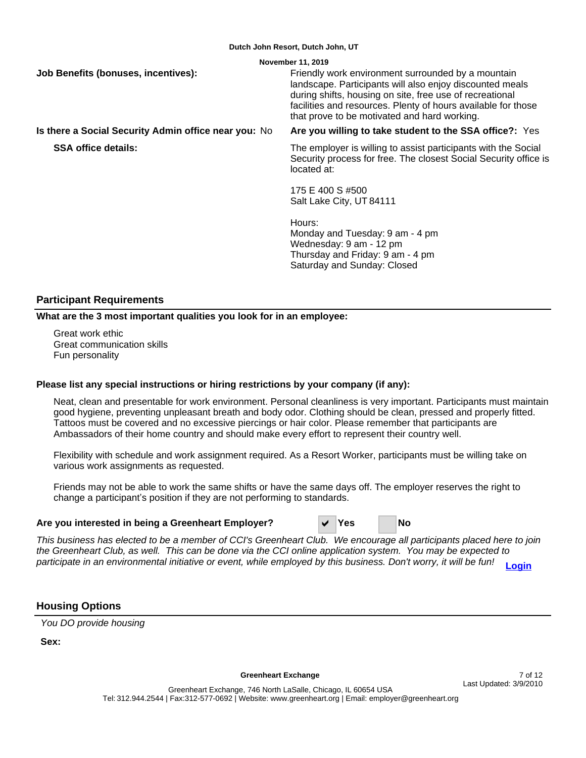| November 11, 2019                                    |                                                                                                                                                                                                                                                                                             |  |  |  |  |  |  |  |
|------------------------------------------------------|---------------------------------------------------------------------------------------------------------------------------------------------------------------------------------------------------------------------------------------------------------------------------------------------|--|--|--|--|--|--|--|
| Job Benefits (bonuses, incentives):                  | Friendly work environment surrounded by a mountain<br>landscape. Participants will also enjoy discounted meals<br>during shifts, housing on site, free use of recreational<br>facilities and resources. Plenty of hours available for those<br>that prove to be motivated and hard working. |  |  |  |  |  |  |  |
| Is there a Social Security Admin office near you: No | Are you willing to take student to the SSA office?: Yes                                                                                                                                                                                                                                     |  |  |  |  |  |  |  |
| <b>SSA office details:</b>                           | The employer is willing to assist participants with the Social<br>Security process for free. The closest Social Security office is<br>located at:                                                                                                                                           |  |  |  |  |  |  |  |
|                                                      | 175 E 400 S #500<br>Salt Lake City, UT 84111                                                                                                                                                                                                                                                |  |  |  |  |  |  |  |
|                                                      | Hours:<br>Monday and Tuesday: 9 am - 4 pm<br>Wednesday: 9 am - 12 pm<br>Thursday and Friday: 9 am - 4 pm<br>Saturday and Sunday: Closed                                                                                                                                                     |  |  |  |  |  |  |  |
|                                                      |                                                                                                                                                                                                                                                                                             |  |  |  |  |  |  |  |

## **Participant Requirements**

**What are the 3 most important qualities you look for in an employee:**

Great work ethic Great communication skills Fun personality

## **Please list any special instructions or hiring restrictions by your company (if any):**

Neat, clean and presentable for work environment. Personal cleanliness is very important. Participants must maintain good hygiene, preventing unpleasant breath and body odor. Clothing should be clean, pressed and properly fitted. Tattoos must be covered and no excessive piercings or hair color. Please remember that participants are Ambassadors of their home country and should make every effort to represent their country well.

Flexibility with schedule and work assignment required. As a Resort Worker, participants must be willing take on various work assignments as requested.

Friends may not be able to work the same shifts or have the same days off. The employer reserves the right to change a participant's position if they are not performing to standards.

## **Are you interested in being a Greenheart Employer?** D **Yes No**

This business has elected to be a member of CCI's Greenheart Club. We encourage all participants placed here to join the Greenheart Club, as well. This can be done via the CCI online application system. You may be expected to participate in an environmental initiative or event, while employed by this business. Don't worry, it will be fun! **[Login](https://www.cci-exchange.com/online)**

## **Housing Options**

You DO provide housing

**Sex:**

Greenheart Exchange **7** of 12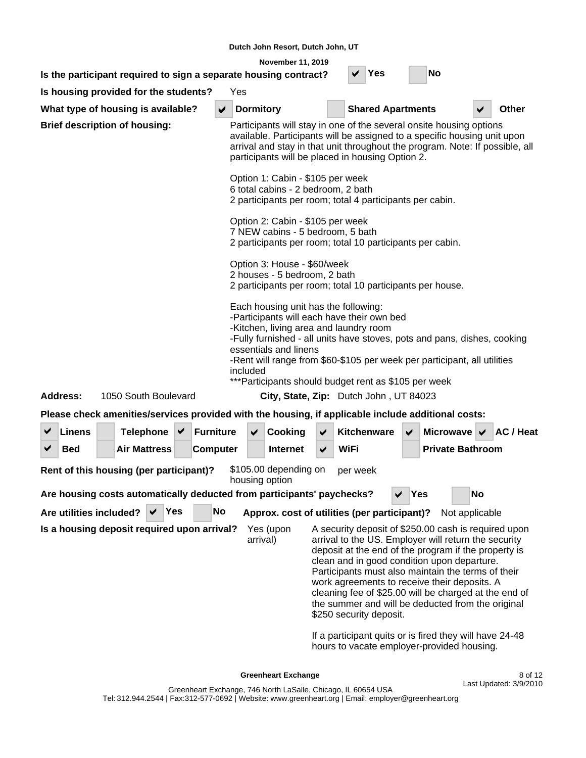| November 11, 2019                                                                                       |                                                                                                                                                                                                                                                                                                                           |  |                      |     |                                                                                                                                                                                                                                                                                                                                                                                                                                                                                                                                                        |  |                  |                  |                                                                        |                      |                                                                                                                                                                                                                                                                                     |     |                                |    |                  |
|---------------------------------------------------------------------------------------------------------|---------------------------------------------------------------------------------------------------------------------------------------------------------------------------------------------------------------------------------------------------------------------------------------------------------------------------|--|----------------------|-----|--------------------------------------------------------------------------------------------------------------------------------------------------------------------------------------------------------------------------------------------------------------------------------------------------------------------------------------------------------------------------------------------------------------------------------------------------------------------------------------------------------------------------------------------------------|--|------------------|------------------|------------------------------------------------------------------------|----------------------|-------------------------------------------------------------------------------------------------------------------------------------------------------------------------------------------------------------------------------------------------------------------------------------|-----|--------------------------------|----|------------------|
|                                                                                                         | No<br>Yes<br>Is the participant required to sign a separate housing contract?<br>Yes                                                                                                                                                                                                                                      |  |                      |     |                                                                                                                                                                                                                                                                                                                                                                                                                                                                                                                                                        |  |                  |                  |                                                                        |                      |                                                                                                                                                                                                                                                                                     |     |                                |    |                  |
| Is housing provided for the students?<br>What type of housing is available?<br><b>Shared Apartments</b> |                                                                                                                                                                                                                                                                                                                           |  |                      |     |                                                                                                                                                                                                                                                                                                                                                                                                                                                                                                                                                        |  |                  |                  |                                                                        |                      |                                                                                                                                                                                                                                                                                     |     |                                |    |                  |
|                                                                                                         |                                                                                                                                                                                                                                                                                                                           |  |                      |     |                                                                                                                                                                                                                                                                                                                                                                                                                                                                                                                                                        |  |                  | <b>Dormitory</b> |                                                                        |                      |                                                                                                                                                                                                                                                                                     |     |                                |    | <b>Other</b>     |
| <b>Brief description of housing:</b>                                                                    |                                                                                                                                                                                                                                                                                                                           |  |                      |     |                                                                                                                                                                                                                                                                                                                                                                                                                                                                                                                                                        |  |                  |                  |                                                                        |                      | Participants will stay in one of the several onsite housing options<br>available. Participants will be assigned to a specific housing unit upon<br>arrival and stay in that unit throughout the program. Note: If possible, all<br>participants will be placed in housing Option 2. |     |                                |    |                  |
|                                                                                                         |                                                                                                                                                                                                                                                                                                                           |  |                      |     |                                                                                                                                                                                                                                                                                                                                                                                                                                                                                                                                                        |  |                  |                  | Option 1: Cabin - \$105 per week<br>6 total cabins - 2 bedroom, 2 bath |                      | 2 participants per room; total 4 participants per cabin.                                                                                                                                                                                                                            |     |                                |    |                  |
|                                                                                                         |                                                                                                                                                                                                                                                                                                                           |  |                      |     |                                                                                                                                                                                                                                                                                                                                                                                                                                                                                                                                                        |  |                  |                  | Option 2: Cabin - \$105 per week<br>7 NEW cabins - 5 bedroom, 5 bath   |                      | 2 participants per room; total 10 participants per cabin.                                                                                                                                                                                                                           |     |                                |    |                  |
|                                                                                                         |                                                                                                                                                                                                                                                                                                                           |  |                      |     |                                                                                                                                                                                                                                                                                                                                                                                                                                                                                                                                                        |  |                  |                  | Option 3: House - \$60/week<br>2 houses - 5 bedroom, 2 bath            |                      | 2 participants per room; total 10 participants per house.                                                                                                                                                                                                                           |     |                                |    |                  |
|                                                                                                         | Each housing unit has the following:<br>-Participants will each have their own bed<br>-Kitchen, living area and laundry room<br>-Fully furnished - all units have stoves, pots and pans, dishes, cooking<br>essentials and linens<br>-Rent will range from \$60-\$105 per week per participant, all utilities<br>included |  |                      |     |                                                                                                                                                                                                                                                                                                                                                                                                                                                                                                                                                        |  |                  |                  |                                                                        |                      |                                                                                                                                                                                                                                                                                     |     |                                |    |                  |
|                                                                                                         | Address:                                                                                                                                                                                                                                                                                                                  |  | 1050 South Boulevard |     |                                                                                                                                                                                                                                                                                                                                                                                                                                                                                                                                                        |  |                  |                  |                                                                        |                      | ***Participants should budget rent as \$105 per week<br>City, State, Zip: Dutch John, UT 84023                                                                                                                                                                                      |     |                                |    |                  |
|                                                                                                         |                                                                                                                                                                                                                                                                                                                           |  |                      |     |                                                                                                                                                                                                                                                                                                                                                                                                                                                                                                                                                        |  |                  |                  |                                                                        |                      | Please check amenities/services provided with the housing, if applicable include additional costs:                                                                                                                                                                                  |     |                                |    |                  |
|                                                                                                         | <b>Linens</b>                                                                                                                                                                                                                                                                                                             |  | <b>Telephone</b>     |     | ✔                                                                                                                                                                                                                                                                                                                                                                                                                                                                                                                                                      |  | <b>Furniture</b> |                  | Cooking                                                                | ✔                    | Kitchenware                                                                                                                                                                                                                                                                         |     | Microwave $\blacktriangledown$ |    | <b>AC</b> / Heat |
|                                                                                                         | <b>Bed</b>                                                                                                                                                                                                                                                                                                                |  | <b>Air Mattress</b>  |     |                                                                                                                                                                                                                                                                                                                                                                                                                                                                                                                                                        |  | <b>Computer</b>  |                  | <b>Internet</b>                                                        | $\blacktriangledown$ | WiFi                                                                                                                                                                                                                                                                                |     | <b>Private Bathroom</b>        |    |                  |
|                                                                                                         | Rent of this housing (per participant)?                                                                                                                                                                                                                                                                                   |  |                      |     |                                                                                                                                                                                                                                                                                                                                                                                                                                                                                                                                                        |  |                  | housing option   | \$105.00 depending on                                                  |                      | per week                                                                                                                                                                                                                                                                            |     |                                |    |                  |
|                                                                                                         |                                                                                                                                                                                                                                                                                                                           |  |                      |     |                                                                                                                                                                                                                                                                                                                                                                                                                                                                                                                                                        |  |                  |                  | Are housing costs automatically deducted from participants' paychecks? |                      |                                                                                                                                                                                                                                                                                     | Yes |                                | No |                  |
|                                                                                                         | Are utilities included?                                                                                                                                                                                                                                                                                                   |  |                      | Yes |                                                                                                                                                                                                                                                                                                                                                                                                                                                                                                                                                        |  | No               |                  |                                                                        |                      | Approx. cost of utilities (per participant)?                                                                                                                                                                                                                                        |     | Not applicable                 |    |                  |
| Is a housing deposit required upon arrival?                                                             |                                                                                                                                                                                                                                                                                                                           |  |                      |     | A security deposit of \$250.00 cash is required upon<br>Yes (upon<br>arrival to the US. Employer will return the security<br>arrival)<br>deposit at the end of the program if the property is<br>clean and in good condition upon departure.<br>Participants must also maintain the terms of their<br>work agreements to receive their deposits. A<br>cleaning fee of \$25.00 will be charged at the end of<br>the summer and will be deducted from the original<br>\$250 security deposit.<br>If a participant quits or is fired they will have 24-48 |  |                  |                  |                                                                        |                      |                                                                                                                                                                                                                                                                                     |     |                                |    |                  |
|                                                                                                         |                                                                                                                                                                                                                                                                                                                           |  |                      |     |                                                                                                                                                                                                                                                                                                                                                                                                                                                                                                                                                        |  |                  |                  | <b>Greenheart Exchange</b>                                             |                      | hours to vacate employer-provided housing.                                                                                                                                                                                                                                          |     |                                |    | 8 of 12          |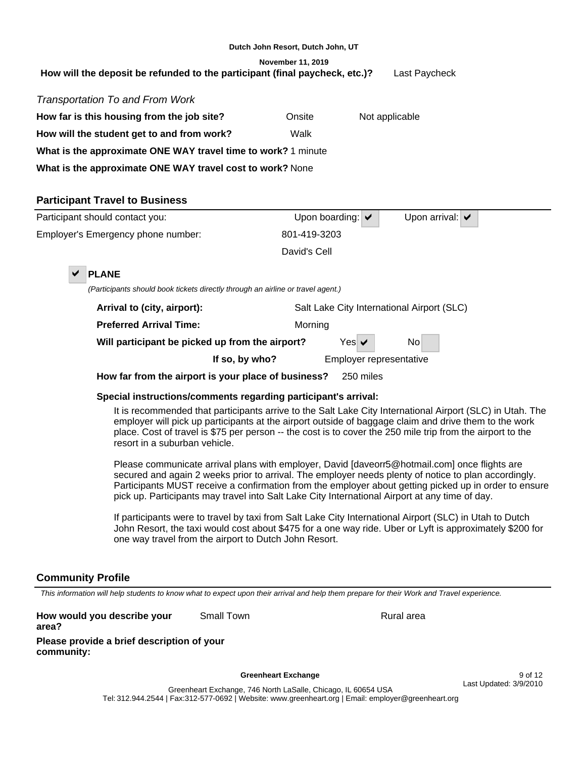| Dutch John Resort, Dutch John, UT                                                            |                                                           |                       |                                            |  |  |  |  |  |  |  |
|----------------------------------------------------------------------------------------------|-----------------------------------------------------------|-----------------------|--------------------------------------------|--|--|--|--|--|--|--|
| November 11, 2019                                                                            |                                                           |                       |                                            |  |  |  |  |  |  |  |
| How will the deposit be refunded to the participant (final paycheck, etc.)?<br>Last Paycheck |                                                           |                       |                                            |  |  |  |  |  |  |  |
| Transportation To and From Work                                                              |                                                           |                       |                                            |  |  |  |  |  |  |  |
| How far is this housing from the job site?                                                   | Onsite                                                    |                       | Not applicable                             |  |  |  |  |  |  |  |
| How will the student get to and from work?                                                   | Walk                                                      |                       |                                            |  |  |  |  |  |  |  |
| What is the approximate ONE WAY travel time to work? 1 minute                                |                                                           |                       |                                            |  |  |  |  |  |  |  |
|                                                                                              | What is the approximate ONE WAY travel cost to work? None |                       |                                            |  |  |  |  |  |  |  |
|                                                                                              |                                                           |                       |                                            |  |  |  |  |  |  |  |
|                                                                                              |                                                           |                       |                                            |  |  |  |  |  |  |  |
| <b>Participant Travel to Business</b>                                                        |                                                           |                       |                                            |  |  |  |  |  |  |  |
| Participant should contact you:                                                              |                                                           | Upon boarding: $\vee$ | Upon arrival: $\blacktriangleright$        |  |  |  |  |  |  |  |
| Employer's Emergency phone number:                                                           | 801-419-3203                                              |                       |                                            |  |  |  |  |  |  |  |
|                                                                                              | David's Cell                                              |                       |                                            |  |  |  |  |  |  |  |
| <b>PLANE</b>                                                                                 |                                                           |                       |                                            |  |  |  |  |  |  |  |
| (Participants should book tickets directly through an airline or travel agent.)              |                                                           |                       |                                            |  |  |  |  |  |  |  |
| Arrival to (city, airport):                                                                  |                                                           |                       | Salt Lake City International Airport (SLC) |  |  |  |  |  |  |  |

**How far from the airport is your place of business?** 250 miles

**Will participant be picked up from the airport?** Yes  $\vert \vee \vert$  No

# **Special instructions/comments regarding participant's arrival:**

It is recommended that participants arrive to the Salt Lake City International Airport (SLC) in Utah. The employer will pick up participants at the airport outside of baggage claim and drive them to the work place. Cost of travel is \$75 per person -- the cost is to cover the 250 mile trip from the airport to the resort in a suburban vehicle.

**If so, by who?** Employer representative

Please communicate arrival plans with employer, David [daveorr5@hotmail.com] once flights are secured and again 2 weeks prior to arrival. The employer needs plenty of notice to plan accordingly. Participants MUST receive a confirmation from the employer about getting picked up in order to ensure pick up. Participants may travel into Salt Lake City International Airport at any time of day.

If participants were to travel by taxi from Salt Lake City International Airport (SLC) in Utah to Dutch John Resort, the taxi would cost about \$475 for a one way ride. Uber or Lyft is approximately \$200 for one way travel from the airport to Dutch John Resort.

# **Community Profile**

This information will help students to know what to expect upon their arrival and help them prepare for their Work and Travel experience.

**Please provide a brief description of your community: How would you describe your area?**

Small Town **Rural area** Rural area

Greenheart Exchange **9 of 12**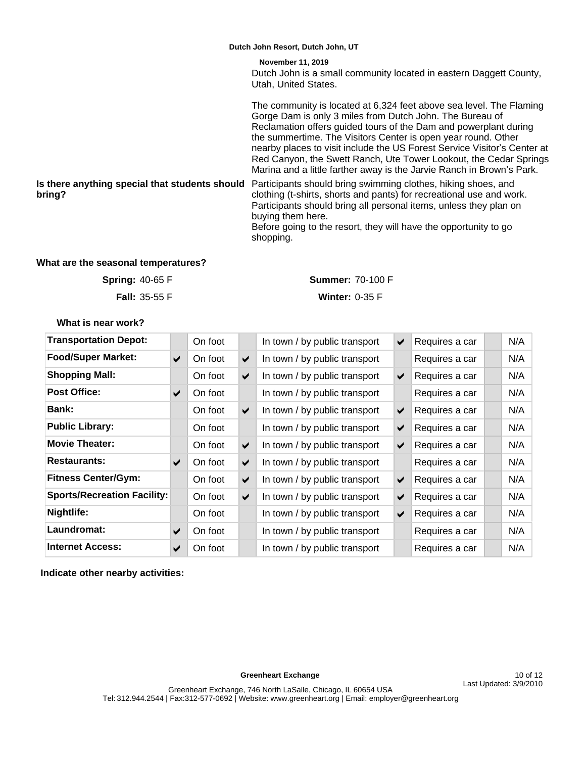**Is there anything special that students should**  Participants should bring swimming clothes, hiking shoes, and **bring?** Dutch John is a small community located in eastern Daggett County, Utah, United States. The community is located at 6,324 feet above sea level. The Flaming Gorge Dam is only 3 miles from Dutch John. The Bureau of Reclamation offers guided tours of the Dam and powerplant during the summertime. The Visitors Center is open year round. Other nearby places to visit include the US Forest Service Visitor's Center at Red Canyon, the Swett Ranch, Ute Tower Lookout, the Cedar Springs Marina and a little farther away is the Jarvie Ranch in Brown's Park. clothing (t-shirts, shorts and pants) for recreational use and work. Participants should bring all personal items, unless they plan on buying them here. Before going to the resort, they will have the opportunity to go shopping. **November 11, 2019 Dutch John Resort, Dutch John, UT**

## **What are the seasonal temperatures?**

**Spring:**

**Fall: 35-55 F** 

40-65 F **Summer:** 70-100 F

**Winter: 0-35 F** 

**What is near work?**

| <b>Transportation Depot:</b>       |                       | On foot |                      | In town / by public transport | $\blacktriangledown$ | Requires a car | N/A |
|------------------------------------|-----------------------|---------|----------------------|-------------------------------|----------------------|----------------|-----|
| <b>Food/Super Market:</b>          | $\blacktriangleright$ | On foot | ✔                    | In town / by public transport |                      | Requires a car | N/A |
| <b>Shopping Mall:</b>              |                       | On foot | ✔                    | In town / by public transport | $\blacktriangledown$ | Requires a car | N/A |
| <b>Post Office:</b>                | ✔                     | On foot |                      | In town / by public transport |                      | Requires a car | N/A |
| <b>Bank:</b>                       |                       | On foot | $\blacktriangledown$ | In town / by public transport | $\blacktriangledown$ | Requires a car | N/A |
| <b>Public Library:</b>             |                       | On foot |                      | In town / by public transport | $\blacktriangledown$ | Requires a car | N/A |
| <b>Movie Theater:</b>              |                       | On foot | $\blacktriangledown$ | In town / by public transport | $\blacktriangledown$ | Requires a car | N/A |
| <b>Restaurants:</b>                | $\blacktriangleright$ | On foot | ✔                    | In town / by public transport |                      | Requires a car | N/A |
| <b>Fitness Center/Gym:</b>         |                       | On foot | ✔                    | In town / by public transport | $\blacktriangledown$ | Requires a car | N/A |
| <b>Sports/Recreation Facility:</b> |                       | On foot | ✔                    | In town / by public transport | ✔                    | Requires a car | N/A |
| Nightlife:                         |                       | On foot |                      | In town / by public transport | $\blacktriangledown$ | Requires a car | N/A |
| Laundromat:                        | ✔                     | On foot |                      | In town / by public transport |                      | Requires a car | N/A |
| <b>Internet Access:</b>            | ✔                     | On foot |                      | In town / by public transport |                      | Requires a car | N/A |

**Indicate other nearby activities:**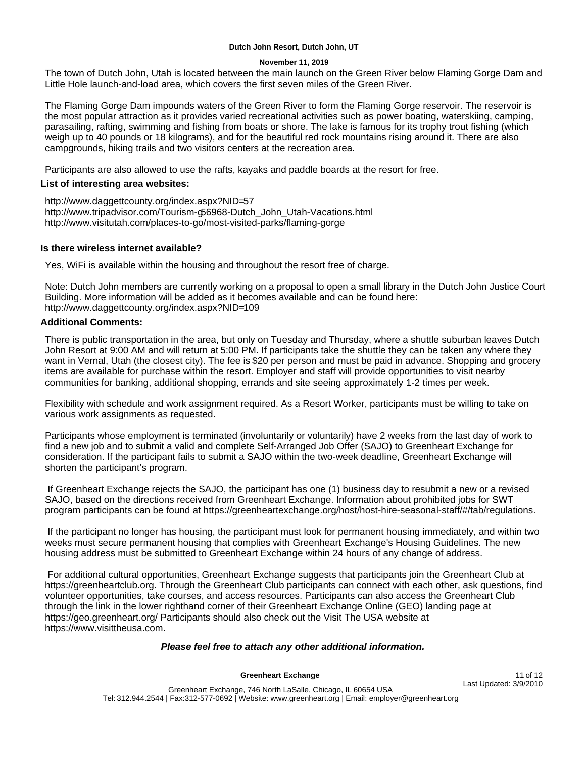#### **November 11, 2019**

The town of Dutch John, Utah is located between the main launch on the Green River below Flaming Gorge Dam and Little Hole launch-and-load area, which covers the first seven miles of the Green River.

The Flaming Gorge Dam impounds waters of the Green River to form the Flaming Gorge reservoir. The reservoir is the most popular attraction as it provides varied recreational activities such as power boating, waterskiing, camping, parasailing, rafting, swimming and fishing from boats or shore. The lake is famous for its trophy trout fishing (which weigh up to 40 pounds or 18 kilograms), and for the beautiful red rock mountains rising around it. There are also campgrounds, hiking trails and two visitors centers at the recreation area.

Participants are also allowed to use the rafts, kayaks and paddle boards at the resort for free.

## **List of interesting area websites:**

http://www.daggettcounty.org/index.aspx?NID=57 http://www.tripadvisor.com/Tourism-g56968-Dutch\_John\_Utah-Vacations.html http://www.visitutah.com/places-to-go/most-visited-parks/flaming-gorge

## **Is there wireless internet available?**

Yes, WiFi is available within the housing and throughout the resort free of charge.

Note: Dutch John members are currently working on a proposal to open a small library in the Dutch John Justice Court Building. More information will be added as it becomes available and can be found here: http://www.daggettcounty.org/index.aspx?NID=109

## **Additional Comments:**

There is public transportation in the area, but only on Tuesday and Thursday, where a shuttle suburban leaves Dutch John Resort at 9:00 AM and will return at 5:00 PM. If participants take the shuttle they can be taken any where they want in Vernal, Utah (the closest city). The fee is \$20 per person and must be paid in advance. Shopping and grocery items are available for purchase within the resort. Employer and staff will provide opportunities to visit nearby communities for banking, additional shopping, errands and site seeing approximately 1-2 times per week.

Flexibility with schedule and work assignment required. As a Resort Worker, participants must be willing to take on various work assignments as requested.

Participants whose employment is terminated (involuntarily or voluntarily) have 2 weeks from the last day of work to find a new job and to submit a valid and complete Self-Arranged Job Offer (SAJO) to Greenheart Exchange for consideration. If the participant fails to submit a SAJO within the two-week deadline, Greenheart Exchange will shorten the participant's program.

 If Greenheart Exchange rejects the SAJO, the participant has one (1) business day to resubmit a new or a revised SAJO, based on the directions received from Greenheart Exchange. Information about prohibited jobs for SWT program participants can be found at https://greenheartexchange.org/host/host-hire-seasonal-staff/#/tab/regulations.

 If the participant no longer has housing, the participant must look for permanent housing immediately, and within two weeks must secure permanent housing that complies with Greenheart Exchange's Housing Guidelines. The new housing address must be submitted to Greenheart Exchange within 24 hours of any change of address.

 For additional cultural opportunities, Greenheart Exchange suggests that participants join the Greenheart Club at https://greenheartclub.org. Through the Greenheart Club participants can connect with each other, ask questions, find volunteer opportunities, take courses, and access resources. Participants can also access the Greenheart Club through the link in the lower righthand corner of their Greenheart Exchange Online (GEO) landing page at https://geo.greenheart.org/ Participants should also check out the Visit The USA website at https://www.visittheusa.com.

## **Please feel free to attach any other additional information.**

## Greenheart Exchange **11 of 12**